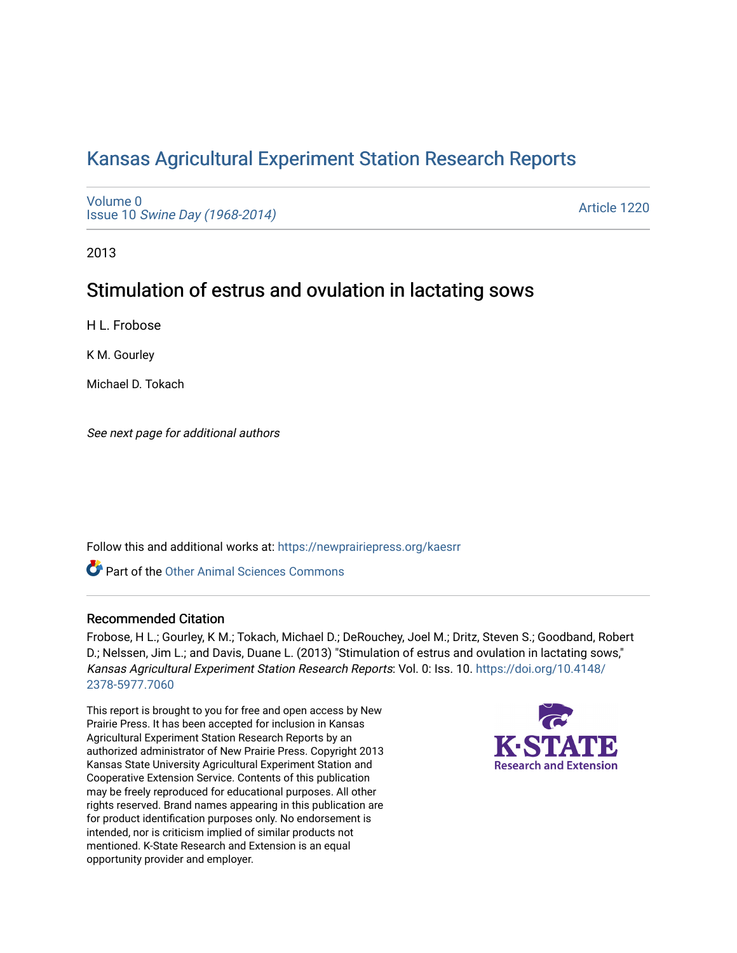# [Kansas Agricultural Experiment Station Research Reports](https://newprairiepress.org/kaesrr)

[Volume 0](https://newprairiepress.org/kaesrr/vol0) Issue 10 [Swine Day \(1968-2014\)](https://newprairiepress.org/kaesrr/vol0/iss10)

[Article 1220](https://newprairiepress.org/kaesrr/vol0/iss10/1220) 

2013

# Stimulation of estrus and ovulation in lactating sows

H L. Frobose

K M. Gourley

Michael D. Tokach

See next page for additional authors

Follow this and additional works at: [https://newprairiepress.org/kaesrr](https://newprairiepress.org/kaesrr?utm_source=newprairiepress.org%2Fkaesrr%2Fvol0%2Fiss10%2F1220&utm_medium=PDF&utm_campaign=PDFCoverPages) 

Part of the [Other Animal Sciences Commons](http://network.bepress.com/hgg/discipline/82?utm_source=newprairiepress.org%2Fkaesrr%2Fvol0%2Fiss10%2F1220&utm_medium=PDF&utm_campaign=PDFCoverPages)

#### Recommended Citation

Frobose, H L.; Gourley, K M.; Tokach, Michael D.; DeRouchey, Joel M.; Dritz, Steven S.; Goodband, Robert D.; Nelssen, Jim L.; and Davis, Duane L. (2013) "Stimulation of estrus and ovulation in lactating sows," Kansas Agricultural Experiment Station Research Reports: Vol. 0: Iss. 10. [https://doi.org/10.4148/](https://doi.org/10.4148/2378-5977.7060) [2378-5977.7060](https://doi.org/10.4148/2378-5977.7060) 

This report is brought to you for free and open access by New Prairie Press. It has been accepted for inclusion in Kansas Agricultural Experiment Station Research Reports by an authorized administrator of New Prairie Press. Copyright 2013 Kansas State University Agricultural Experiment Station and Cooperative Extension Service. Contents of this publication may be freely reproduced for educational purposes. All other rights reserved. Brand names appearing in this publication are for product identification purposes only. No endorsement is intended, nor is criticism implied of similar products not mentioned. K-State Research and Extension is an equal opportunity provider and employer.

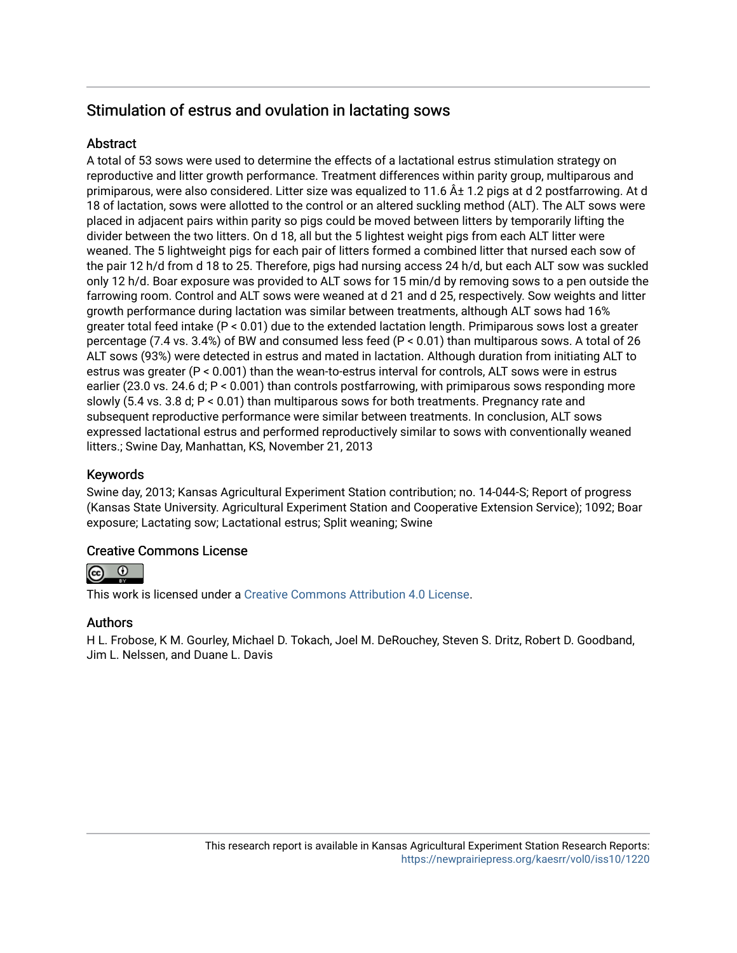# Stimulation of estrus and ovulation in lactating sows

## **Abstract**

A total of 53 sows were used to determine the effects of a lactational estrus stimulation strategy on reproductive and litter growth performance. Treatment differences within parity group, multiparous and primiparous, were also considered. Litter size was equalized to 11.6  $\hat{A}$ ± 1.2 pigs at d 2 postfarrowing. At d 18 of lactation, sows were allotted to the control or an altered suckling method (ALT). The ALT sows were placed in adjacent pairs within parity so pigs could be moved between litters by temporarily lifting the divider between the two litters. On d 18, all but the 5 lightest weight pigs from each ALT litter were weaned. The 5 lightweight pigs for each pair of litters formed a combined litter that nursed each sow of the pair 12 h/d from d 18 to 25. Therefore, pigs had nursing access 24 h/d, but each ALT sow was suckled only 12 h/d. Boar exposure was provided to ALT sows for 15 min/d by removing sows to a pen outside the farrowing room. Control and ALT sows were weaned at d 21 and d 25, respectively. Sow weights and litter growth performance during lactation was similar between treatments, although ALT sows had 16% greater total feed intake (P < 0.01) due to the extended lactation length. Primiparous sows lost a greater percentage (7.4 vs. 3.4%) of BW and consumed less feed (P < 0.01) than multiparous sows. A total of 26 ALT sows (93%) were detected in estrus and mated in lactation. Although duration from initiating ALT to estrus was greater (P < 0.001) than the wean-to-estrus interval for controls, ALT sows were in estrus earlier (23.0 vs. 24.6 d; P < 0.001) than controls postfarrowing, with primiparous sows responding more slowly (5.4 vs. 3.8 d; P < 0.01) than multiparous sows for both treatments. Pregnancy rate and subsequent reproductive performance were similar between treatments. In conclusion, ALT sows expressed lactational estrus and performed reproductively similar to sows with conventionally weaned litters.; Swine Day, Manhattan, KS, November 21, 2013

## Keywords

Swine day, 2013; Kansas Agricultural Experiment Station contribution; no. 14-044-S; Report of progress (Kansas State University. Agricultural Experiment Station and Cooperative Extension Service); 1092; Boar exposure; Lactating sow; Lactational estrus; Split weaning; Swine

## Creative Commons License



This work is licensed under a [Creative Commons Attribution 4.0 License](https://creativecommons.org/licenses/by/4.0/).

## Authors

H L. Frobose, K M. Gourley, Michael D. Tokach, Joel M. DeRouchey, Steven S. Dritz, Robert D. Goodband, Jim L. Nelssen, and Duane L. Davis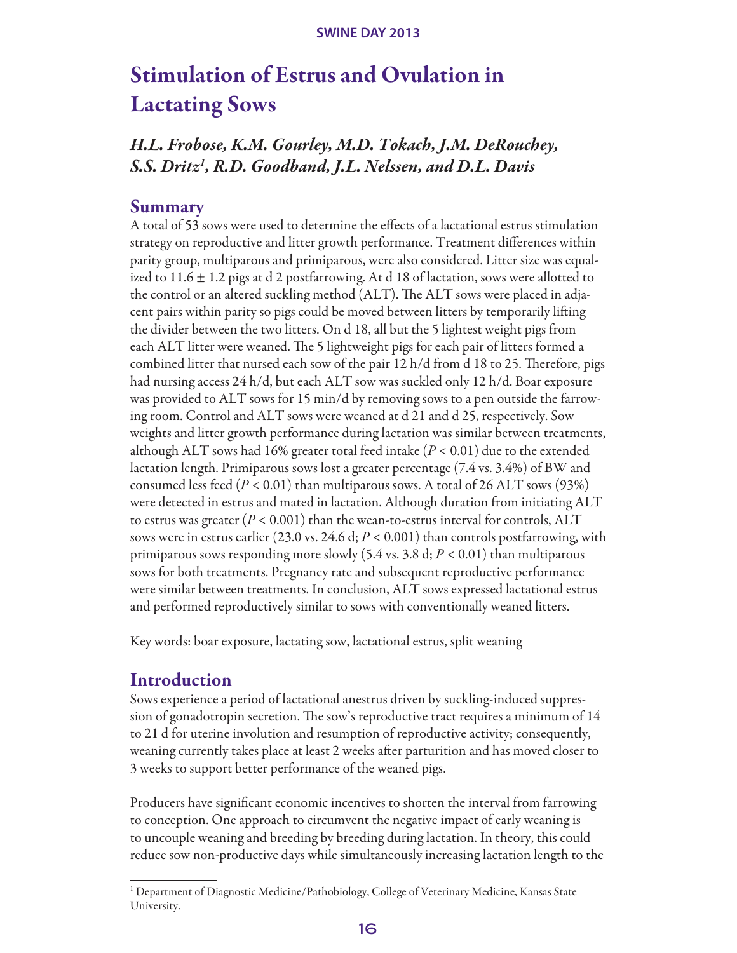# Stimulation of Estrus and Ovulation in Lactating Sows

# *H.L. Frobose, K.M. Gourley, M.D. Tokach, J.M. DeRouchey, S.S. Dritz1 , R.D. Goodband, J.L. Nelssen, and D.L. Davis*

## Summary

A total of 53 sows were used to determine the effects of a lactational estrus stimulation strategy on reproductive and litter growth performance. Treatment differences within parity group, multiparous and primiparous, were also considered. Litter size was equalized to  $11.6 \pm 1.2$  pigs at d 2 postfarrowing. At d 18 of lactation, sows were allotted to the control or an altered suckling method (ALT). The ALT sows were placed in adjacent pairs within parity so pigs could be moved between litters by temporarily lifting the divider between the two litters. On d 18, all but the 5 lightest weight pigs from each ALT litter were weaned. The 5 lightweight pigs for each pair of litters formed a combined litter that nursed each sow of the pair  $12 \text{ h/d}$  from d 18 to 25. Therefore, pigs had nursing access 24 h/d, but each ALT sow was suckled only 12 h/d. Boar exposure was provided to ALT sows for 15 min/d by removing sows to a pen outside the farrowing room. Control and ALT sows were weaned at d 21 and d 25, respectively. Sow weights and litter growth performance during lactation was similar between treatments, although ALT sows had 16% greater total feed intake (*P* < 0.01) due to the extended lactation length. Primiparous sows lost a greater percentage (7.4 vs. 3.4%) of BW and consumed less feed  $(P < 0.01)$  than multiparous sows. A total of 26 ALT sows (93%) were detected in estrus and mated in lactation. Although duration from initiating ALT to estrus was greater  $(P < 0.001)$  than the wean-to-estrus interval for controls, ALT sows were in estrus earlier (23.0 vs. 24.6 d; *P* < 0.001) than controls postfarrowing, with primiparous sows responding more slowly (5.4 vs. 3.8 d; *P* < 0.01) than multiparous sows for both treatments. Pregnancy rate and subsequent reproductive performance were similar between treatments. In conclusion, ALT sows expressed lactational estrus and performed reproductively similar to sows with conventionally weaned litters.

Key words: boar exposure, lactating sow, lactational estrus, split weaning

# Introduction

Sows experience a period of lactational anestrus driven by suckling-induced suppression of gonadotropin secretion. The sow's reproductive tract requires a minimum of 14 to 21 d for uterine involution and resumption of reproductive activity; consequently, weaning currently takes place at least 2 weeks after parturition and has moved closer to 3 weeks to support better performance of the weaned pigs.

Producers have significant economic incentives to shorten the interval from farrowing to conception. One approach to circumvent the negative impact of early weaning is to uncouple weaning and breeding by breeding during lactation. In theory, this could reduce sow non-productive days while simultaneously increasing lactation length to the

<sup>&</sup>lt;sup>1</sup> Department of Diagnostic Medicine/Pathobiology, College of Veterinary Medicine, Kansas State University.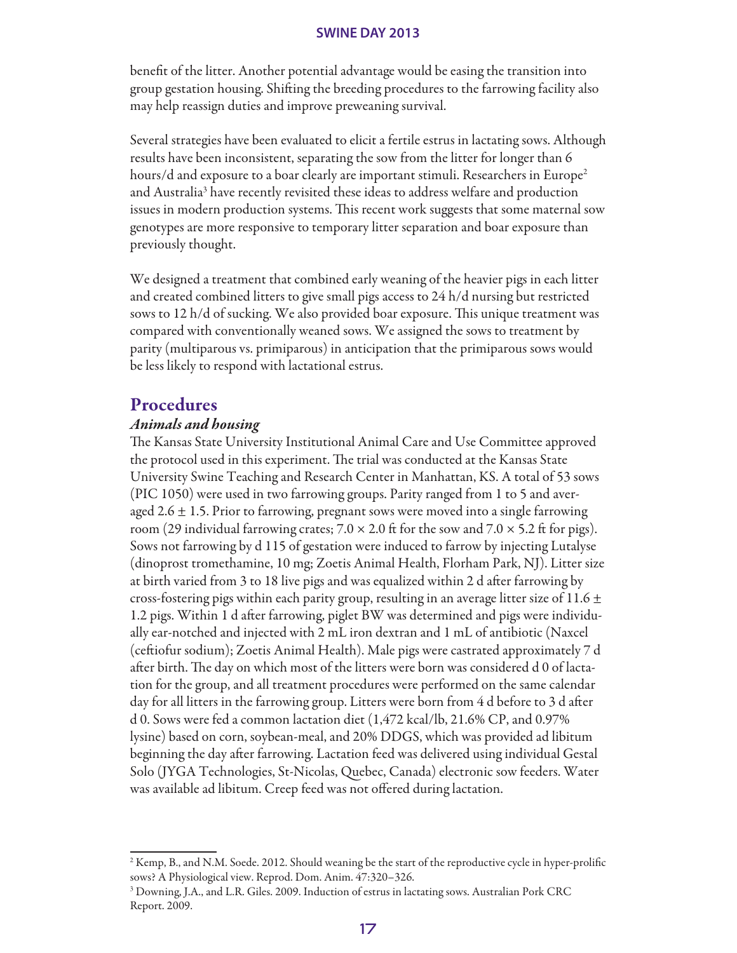benefit of the litter. Another potential advantage would be easing the transition into group gestation housing. Shifting the breeding procedures to the farrowing facility also may help reassign duties and improve preweaning survival.

Several strategies have been evaluated to elicit a fertile estrus in lactating sows. Although results have been inconsistent, separating the sow from the litter for longer than 6 hours/d and exposure to a boar clearly are important stimuli. Researchers in Europe<sup>2</sup> and Australia<sup>3</sup> have recently revisited these ideas to address welfare and production issues in modern production systems. This recent work suggests that some maternal sow genotypes are more responsive to temporary litter separation and boar exposure than previously thought.

We designed a treatment that combined early weaning of the heavier pigs in each litter and created combined litters to give small pigs access to 24 h/d nursing but restricted sows to 12 h/d of sucking. We also provided boar exposure. This unique treatment was compared with conventionally weaned sows. We assigned the sows to treatment by parity (multiparous vs. primiparous) in anticipation that the primiparous sows would be less likely to respond with lactational estrus.

## Procedures

#### *Animals and housing*

The Kansas State University Institutional Animal Care and Use Committee approved the protocol used in this experiment. The trial was conducted at the Kansas State University Swine Teaching and Research Center in Manhattan, KS. A total of 53 sows (PIC 1050) were used in two farrowing groups. Parity ranged from 1 to 5 and averaged 2.6  $\pm$  1.5. Prior to farrowing, pregnant sows were moved into a single farrowing room (29 individual farrowing crates;  $7.0 \times 2.0$  ft for the sow and  $7.0 \times 5.2$  ft for pigs). Sows not farrowing by d 115 of gestation were induced to farrow by injecting Lutalyse (dinoprost tromethamine, 10 mg; Zoetis Animal Health, Florham Park, NJ). Litter size at birth varied from 3 to 18 live pigs and was equalized within 2 d after farrowing by cross-fostering pigs within each parity group, resulting in an average litter size of 11.6  $\pm$ 1.2 pigs. Within 1 d after farrowing, piglet BW was determined and pigs were individually ear-notched and injected with 2 mL iron dextran and 1 mL of antibiotic (Naxcel (ceftiofur sodium); Zoetis Animal Health). Male pigs were castrated approximately 7 d after birth. The day on which most of the litters were born was considered d 0 of lactation for the group, and all treatment procedures were performed on the same calendar day for all litters in the farrowing group. Litters were born from 4 d before to 3 d after d 0. Sows were fed a common lactation diet (1,472 kcal/lb, 21.6% CP, and 0.97% lysine) based on corn, soybean-meal, and 20% DDGS, which was provided ad libitum beginning the day after farrowing. Lactation feed was delivered using individual Gestal Solo (JYGA Technologies, St-Nicolas, Quebec, Canada) electronic sow feeders. Water was available ad libitum. Creep feed was not offered during lactation.

<sup>2</sup> Kemp, B., and N.M. Soede. 2012. Should weaning be the start of the reproductive cycle in hyper-prolific sows? A Physiological view. Reprod. Dom. Anim. 47:320–326.

<sup>&</sup>lt;sup>3</sup> Downing, J.A., and L.R. Giles. 2009. Induction of estrus in lactating sows. Australian Pork CRC Report. 2009.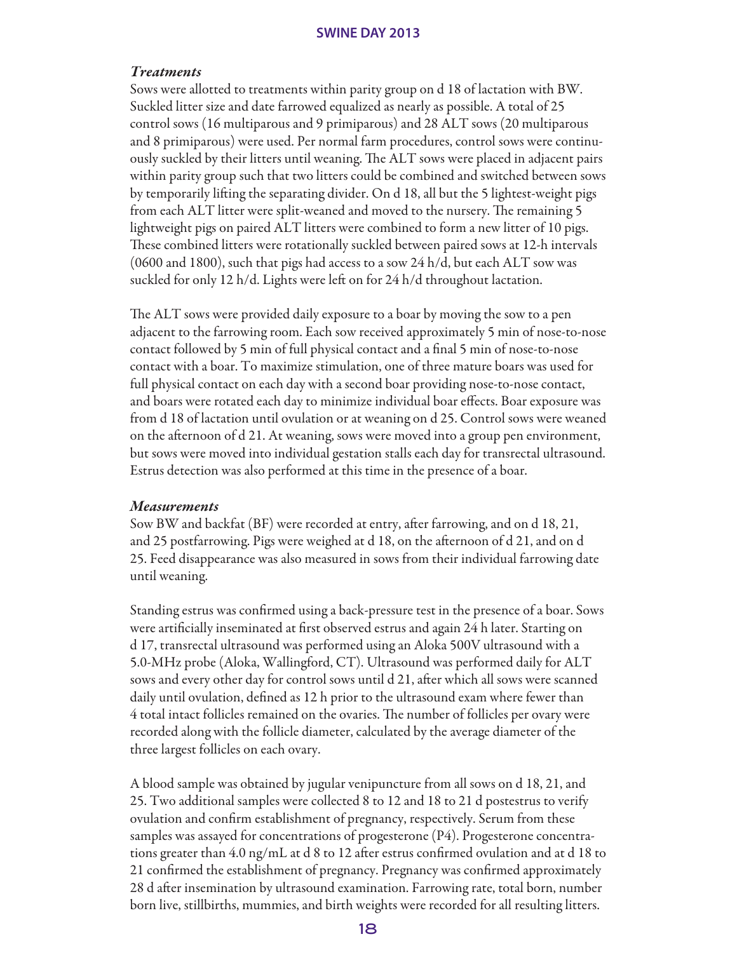#### *Treatments*

Sows were allotted to treatments within parity group on d 18 of lactation with BW. Suckled litter size and date farrowed equalized as nearly as possible. A total of 25 control sows (16 multiparous and 9 primiparous) and 28 ALT sows (20 multiparous and 8 primiparous) were used. Per normal farm procedures, control sows were continuously suckled by their litters until weaning. The ALT sows were placed in adjacent pairs within parity group such that two litters could be combined and switched between sows by temporarily lifting the separating divider. On d 18, all but the 5 lightest-weight pigs from each ALT litter were split-weaned and moved to the nursery. The remaining 5 lightweight pigs on paired ALT litters were combined to form a new litter of 10 pigs. These combined litters were rotationally suckled between paired sows at 12-h intervals (0600 and 1800), such that pigs had access to a sow 24 h/d, but each ALT sow was suckled for only 12 h/d. Lights were left on for 24 h/d throughout lactation.

The ALT sows were provided daily exposure to a boar by moving the sow to a pen adjacent to the farrowing room. Each sow received approximately 5 min of nose-to-nose contact followed by 5 min of full physical contact and a final 5 min of nose-to-nose contact with a boar. To maximize stimulation, one of three mature boars was used for full physical contact on each day with a second boar providing nose-to-nose contact, and boars were rotated each day to minimize individual boar effects. Boar exposure was from d 18 of lactation until ovulation or at weaning on d 25. Control sows were weaned on the afternoon of d 21. At weaning, sows were moved into a group pen environment, but sows were moved into individual gestation stalls each day for transrectal ultrasound. Estrus detection was also performed at this time in the presence of a boar.

#### *Measurements*

Sow BW and backfat (BF) were recorded at entry, after farrowing, and on d 18, 21, and 25 postfarrowing. Pigs were weighed at d 18, on the afternoon of d 21, and on d 25. Feed disappearance was also measured in sows from their individual farrowing date until weaning.

Standing estrus was confirmed using a back-pressure test in the presence of a boar. Sows were artificially inseminated at first observed estrus and again 24 h later. Starting on d 17, transrectal ultrasound was performed using an Aloka 500V ultrasound with a 5.0-MHz probe (Aloka, Wallingford, CT). Ultrasound was performed daily for ALT sows and every other day for control sows until d 21, after which all sows were scanned daily until ovulation, defined as 12 h prior to the ultrasound exam where fewer than 4 total intact follicles remained on the ovaries. The number of follicles per ovary were recorded along with the follicle diameter, calculated by the average diameter of the three largest follicles on each ovary.

A blood sample was obtained by jugular venipuncture from all sows on d 18, 21, and 25. Two additional samples were collected 8 to 12 and 18 to 21 d postestrus to verify ovulation and confirm establishment of pregnancy, respectively. Serum from these samples was assayed for concentrations of progesterone (P4). Progesterone concentrations greater than 4.0 ng/mL at d 8 to 12 after estrus confirmed ovulation and at d 18 to 21 confirmed the establishment of pregnancy. Pregnancy was confirmed approximately 28 d after insemination by ultrasound examination. Farrowing rate, total born, number born live, stillbirths, mummies, and birth weights were recorded for all resulting litters.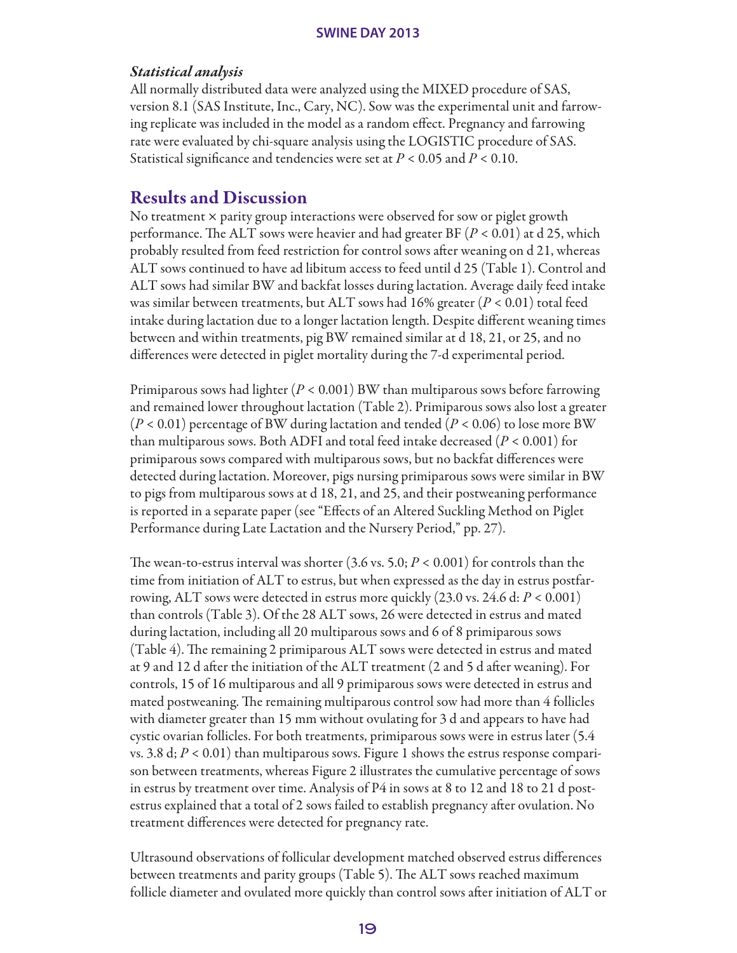#### *Statistical analysis*

All normally distributed data were analyzed using the MIXED procedure of SAS, version 8.1 (SAS Institute, Inc., Cary, NC). Sow was the experimental unit and farrowing replicate was included in the model as a random effect. Pregnancy and farrowing rate were evaluated by chi-square analysis using the LOGISTIC procedure of SAS. Statistical significance and tendencies were set at *P* < 0.05 and *P* < 0.10.

# Results and Discussion

No treatment × parity group interactions were observed for sow or piglet growth performance. The ALT sows were heavier and had greater BF (*P* < 0.01) at d 25, which probably resulted from feed restriction for control sows after weaning on d 21, whereas ALT sows continued to have ad libitum access to feed until d 25 (Table 1). Control and ALT sows had similar BW and backfat losses during lactation. Average daily feed intake was similar between treatments, but ALT sows had 16% greater (*P* < 0.01) total feed intake during lactation due to a longer lactation length. Despite different weaning times between and within treatments, pig BW remained similar at d 18, 21, or 25, and no differences were detected in piglet mortality during the 7-d experimental period.

Primiparous sows had lighter (*P* < 0.001) BW than multiparous sows before farrowing and remained lower throughout lactation (Table 2). Primiparous sows also lost a greater (*P* < 0.01) percentage of BW during lactation and tended (*P* < 0.06) to lose more BW than multiparous sows. Both ADFI and total feed intake decreased (*P* < 0.001) for primiparous sows compared with multiparous sows, but no backfat differences were detected during lactation. Moreover, pigs nursing primiparous sows were similar in BW to pigs from multiparous sows at d 18, 21, and 25, and their postweaning performance is reported in a separate paper (see "Effects of an Altered Suckling Method on Piglet Performance during Late Lactation and the Nursery Period," pp. 27).

The wean-to-estrus interval was shorter (3.6 vs. 5.0; *P* < 0.001) for controls than the time from initiation of ALT to estrus, but when expressed as the day in estrus postfarrowing, ALT sows were detected in estrus more quickly (23.0 vs. 24.6 d: *P* < 0.001) than controls (Table 3). Of the 28 ALT sows, 26 were detected in estrus and mated during lactation, including all 20 multiparous sows and 6 of 8 primiparous sows (Table 4). The remaining 2 primiparous ALT sows were detected in estrus and mated at 9 and 12 d after the initiation of the ALT treatment (2 and 5 d after weaning). For controls, 15 of 16 multiparous and all 9 primiparous sows were detected in estrus and mated postweaning. The remaining multiparous control sow had more than 4 follicles with diameter greater than 15 mm without ovulating for 3 d and appears to have had cystic ovarian follicles. For both treatments, primiparous sows were in estrus later (5.4 vs. 3.8 d; *P* < 0.01) than multiparous sows. Figure 1 shows the estrus response comparison between treatments, whereas Figure 2 illustrates the cumulative percentage of sows in estrus by treatment over time. Analysis of P4 in sows at 8 to 12 and 18 to 21 d postestrus explained that a total of 2 sows failed to establish pregnancy after ovulation. No treatment differences were detected for pregnancy rate.

Ultrasound observations of follicular development matched observed estrus differences between treatments and parity groups (Table 5). The ALT sows reached maximum follicle diameter and ovulated more quickly than control sows after initiation of ALT or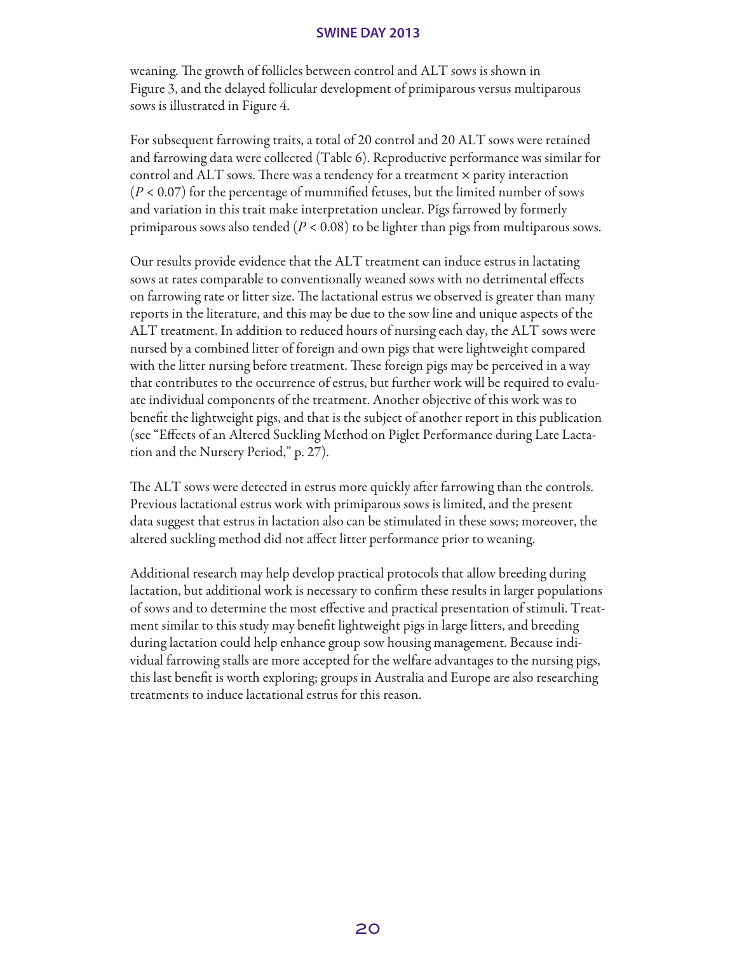weaning. The growth of follicles between control and ALT sows is shown in Figure 3, and the delayed follicular development of primiparous versus multiparous sows is illustrated in Figure 4.

For subsequent farrowing traits, a total of 20 control and 20 ALT sows were retained and farrowing data were collected (Table 6). Reproductive performance was similar for control and  $ALT$  sows. There was a tendency for a treatment  $\times$  parity interaction  $(P < 0.07)$  for the percentage of mummified fetuses, but the limited number of sows and variation in this trait make interpretation unclear. Pigs farrowed by formerly primiparous sows also tended (*P* < 0.08) to be lighter than pigs from multiparous sows.

Our results provide evidence that the ALT treatment can induce estrus in lactating sows at rates comparable to conventionally weaned sows with no detrimental effects on farrowing rate or litter size. The lactational estrus we observed is greater than many reports in the literature, and this may be due to the sow line and unique aspects of the ALT treatment. In addition to reduced hours of nursing each day, the ALT sows were nursed by a combined litter of foreign and own pigs that were lightweight compared with the litter nursing before treatment. These foreign pigs may be perceived in a way that contributes to the occurrence of estrus, but further work will be required to evaluate individual components of the treatment. Another objective of this work was to benefit the lightweight pigs, and that is the subject of another report in this publication (see "Effects of an Altered Suckling Method on Piglet Performance during Late Lactation and the Nursery Period," p. 27).

The ALT sows were detected in estrus more quickly after farrowing than the controls. Previous lactational estrus work with primiparous sows is limited, and the present data suggest that estrus in lactation also can be stimulated in these sows; moreover, the altered suckling method did not affect litter performance prior to weaning.

Additional research may help develop practical protocols that allow breeding during lactation, but additional work is necessary to confirm these results in larger populations of sows and to determine the most effective and practical presentation of stimuli. Treatment similar to this study may benefit lightweight pigs in large litters, and breeding during lactation could help enhance group sow housing management. Because individual farrowing stalls are more accepted for the welfare advantages to the nursing pigs, this last benefit is worth exploring; groups in Australia and Europe are also researching treatments to induce lactational estrus for this reason.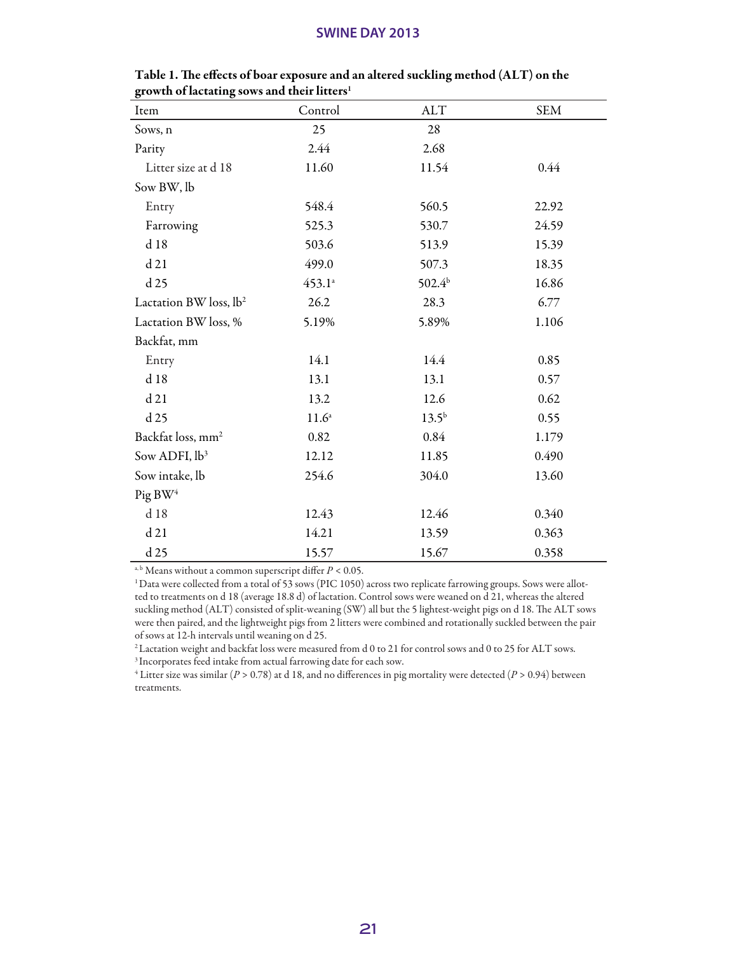| Item                               | Control           | <b>ALT</b>         | <b>SEM</b> |
|------------------------------------|-------------------|--------------------|------------|
| Sows, n                            | 25                | 28                 |            |
| Parity                             | 2.44              | 2.68               |            |
| Litter size at d 18                | 11.60             | 11.54              | 0.44       |
| Sow BW, lb                         |                   |                    |            |
| Entry                              | 548.4             | 560.5              | 22.92      |
| Farrowing                          | 525.3             | 530.7              | 24.59      |
| d 18                               | 503.6             | 513.9              | 15.39      |
| d21                                | 499.0             | 507.3              | 18.35      |
| d 25                               | $453.1^a$         | 502.4 <sup>b</sup> | 16.86      |
| Lactation BW loss, lb <sup>2</sup> | 26.2              | 28.3               | 6.77       |
| Lactation BW loss, %               | 5.19%             | 5.89%              | 1.106      |
| Backfat, mm                        |                   |                    |            |
| Entry                              | 14.1              | 14.4               | 0.85       |
| d 18                               | 13.1              | 13.1               | 0.57       |
| d21                                | 13.2              | 12.6               | 0.62       |
| d 25                               | 11.6 <sup>a</sup> | $13.5^{b}$         | 0.55       |
| Backfat loss, mm <sup>2</sup>      | 0.82              | 0.84               | 1.179      |
| Sow ADFI, lb <sup>3</sup>          | 12.12             | 11.85              | 0.490      |
| Sow intake, lb                     | 254.6             | 304.0              | 13.60      |
| Pig BW <sup>4</sup>                |                   |                    |            |
| d 18                               | 12.43             | 12.46              | 0.340      |
| d21                                | 14.21             | 13.59              | 0.363      |
| d 25                               | 15.57             | 15.67              | 0.358      |

Table 1. The effects of boar exposure and an altered suckling method (ALT) on the growth of lactating sows and their litters<sup>1</sup>

a, b Means without a common superscript differ *P* < 0.05.

<sup>1</sup> Data were collected from a total of 53 sows (PIC 1050) across two replicate farrowing groups. Sows were allotted to treatments on d 18 (average 18.8 d) of lactation. Control sows were weaned on d 21, whereas the altered suckling method (ALT) consisted of split-weaning (SW) all but the 5 lightest-weight pigs on d 18. The ALT sows were then paired, and the lightweight pigs from 2 litters were combined and rotationally suckled between the pair of sows at 12-h intervals until weaning on d 25.

 $2$  Lactation weight and backfat loss were measured from d 0 to 21 for control sows and 0 to 25 for ALT sows.

3 Incorporates feed intake from actual farrowing date for each sow.

4 Litter size was similar (*P* > 0.78) at d 18, and no differences in pig mortality were detected (*P* > 0.94) between treatments.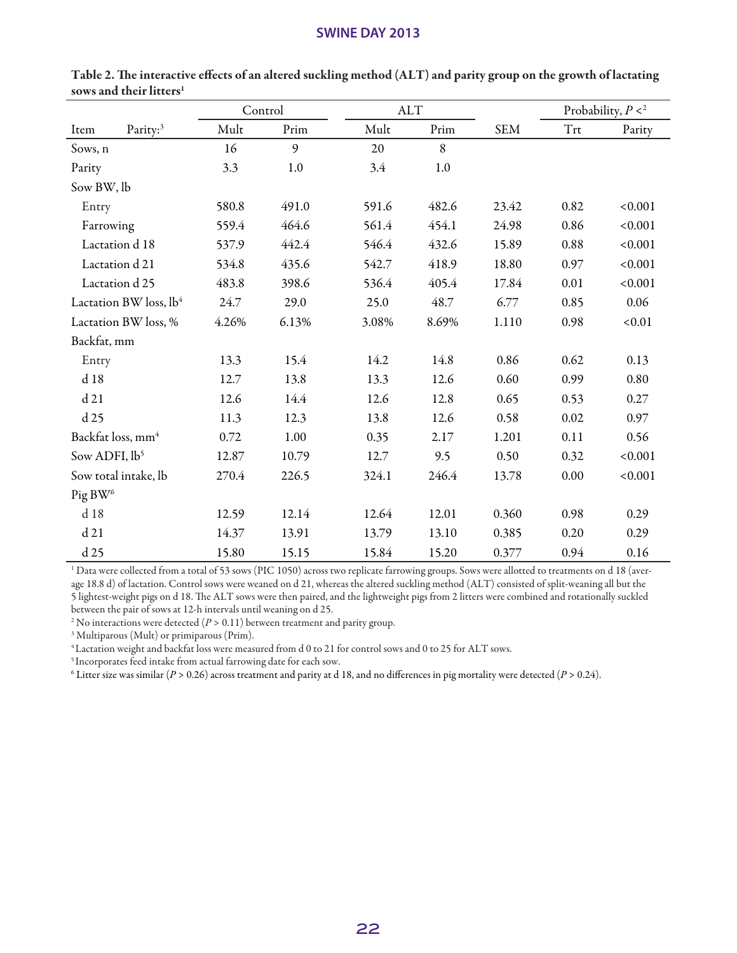|                                    |       | Control | <b>ALT</b> |         |            | Probability, $P <^2$ |         |
|------------------------------------|-------|---------|------------|---------|------------|----------------------|---------|
| Parity: <sup>3</sup><br>Item       | Mult  | Prim    | Mult       | Prim    | <b>SEM</b> | Trt                  | Parity  |
| Sows, n                            | 16    | 9       | 20         | 8       |            |                      |         |
| Parity                             | 3.3   | 1.0     | 3.4        | $1.0\,$ |            |                      |         |
| Sow BW, lb                         |       |         |            |         |            |                      |         |
| Entry                              | 580.8 | 491.0   | 591.6      | 482.6   | 23.42      | 0.82                 | < 0.001 |
| Farrowing                          | 559.4 | 464.6   | 561.4      | 454.1   | 24.98      | 0.86                 | < 0.001 |
| Lactation d 18                     | 537.9 | 442.4   | 546.4      | 432.6   | 15.89      | 0.88                 | < 0.001 |
| Lactation d 21                     | 534.8 | 435.6   | 542.7      | 418.9   | 18.80      | 0.97                 | < 0.001 |
| Lactation d 25                     | 483.8 | 398.6   | 536.4      | 405.4   | 17.84      |                      | < 0.001 |
| Lactation BW loss, lb <sup>4</sup> | 24.7  | 29.0    | 25.0       | 48.7    | 6.77       | 0.85                 | 0.06    |
| Lactation BW loss, %               | 4.26% | 6.13%   | 3.08%      | 8.69%   | 1.110      | 0.98                 | < 0.01  |
| Backfat, mm                        |       |         |            |         |            |                      |         |
| Entry                              | 13.3  | 15.4    | 14.2       | 14.8    | 0.86       |                      | 0.13    |
| d 18                               | 12.7  | 13.8    | 13.3       | 12.6    | 0.60       | 0.99                 | 0.80    |
| d21                                | 12.6  | 14.4    | 12.6       | 12.8    | 0.65       | 0.53                 | 0.27    |
| d 25                               | 11.3  | 12.3    | 13.8       | 12.6    | 0.58       | 0.02                 | 0.97    |
| Backfat loss, mm <sup>4</sup>      | 0.72  | 1.00    | 0.35       | 2.17    | 1.201      | 0.11                 | 0.56    |
| Sow ADFI, lb <sup>5</sup>          | 12.87 | 10.79   | 12.7       | 9.5     | 0.50       | 0.32                 | < 0.001 |
| Sow total intake, lb               | 270.4 | 226.5   | 324.1      | 246.4   | 13.78      | 0.00                 | < 0.001 |
| Pig BW <sup>6</sup>                |       |         |            |         |            |                      |         |
| d18                                | 12.59 | 12.14   | 12.64      | 12.01   | 0.360      | 0.98                 | 0.29    |
| d21                                | 14.37 | 13.91   | 13.79      | 13.10   | 0.385      | 0.20                 | 0.29    |
| d 25                               | 15.80 | 15.15   | 15.84      | 15.20   | 0.377      | 0.94                 | 0.16    |

Table 2. The interactive effects of an altered suckling method (ALT) and parity group on the growth of lactating sows and their litters<sup>1</sup>

 $^{\rm 1}$  Data were collected from a total of 53 sows (PIC 1050) across two replicate farrowing groups. Sows were allotted to treatments on d 18 (average 18.8 d) of lactation. Control sows were weaned on d 21, whereas the altered suckling method (ALT) consisted of split-weaning all but the 5 lightest-weight pigs on d 18. The ALT sows were then paired, and the lightweight pigs from 2 litters were combined and rotationally suckled between the pair of sows at 12-h intervals until weaning on d 25.

 $^{\rm 2}$  No interactions were detected (*P* > 0.11) between treatment and parity group.

3 Multiparous (Mult) or primiparous (Prim).

4 Lactation weight and backfat loss were measured from d 0 to 21 for control sows and 0 to 25 for ALT sows.

5 Incorporates feed intake from actual farrowing date for each sow.

6 Litter size was similar (*P* > 0.26) across treatment and parity at d 18, and no differences in pig mortality were detected (*P* > 0.24).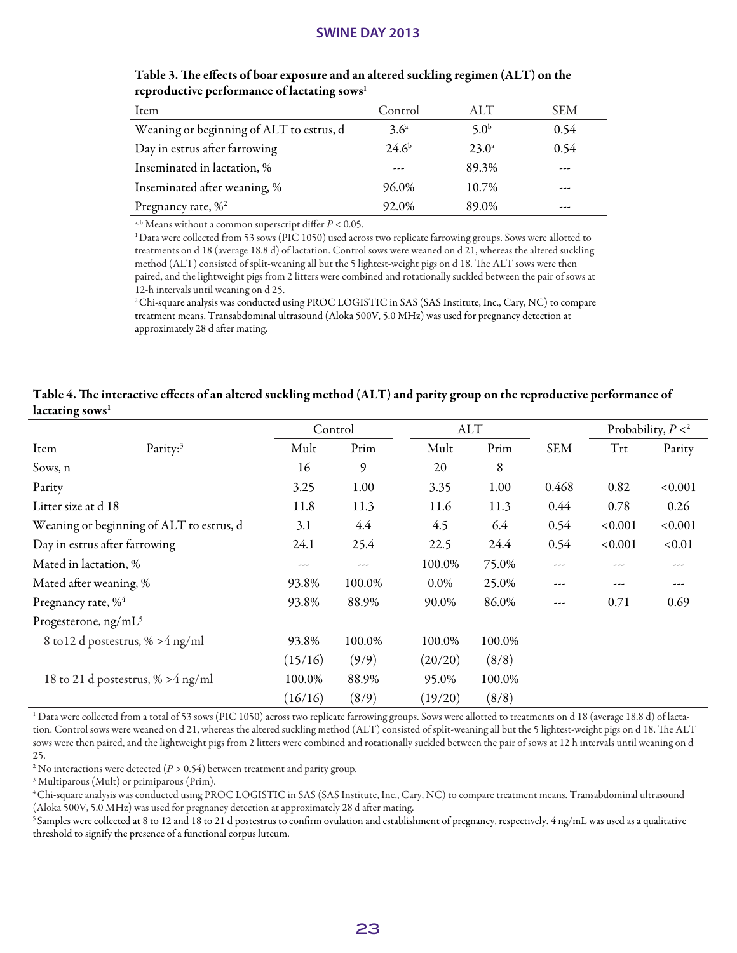| Item                                     | Control        | ALT              | <b>SEM</b> |
|------------------------------------------|----------------|------------------|------------|
| Weaning or beginning of ALT to estrus, d | $3.6^{\circ}$  | 5.0 <sup>b</sup> | 0.54       |
| Day in estrus after farrowing            | $24.6^{\rm b}$ | $23.0^{\circ}$   | 0.54       |
| Inseminated in lactation, %              | ---            | 89.3%            | ---        |
| Inseminated after weaning, %             | 96.0%          | 10.7%            | ---        |
| Pregnancy rate, % <sup>2</sup>           | 92.0%          | 89.0%            |            |

Table 3. The effects of boar exposure and an altered suckling regimen (ALT) on the reproductive performance of lactating sows<sup>1</sup>

a, b Means without a common superscript differ *P* < 0.05.

1 Data were collected from 53 sows (PIC 1050) used across two replicate farrowing groups. Sows were allotted to treatments on d 18 (average 18.8 d) of lactation. Control sows were weaned on d 21, whereas the altered suckling method (ALT) consisted of split-weaning all but the 5 lightest-weight pigs on d 18. The ALT sows were then paired, and the lightweight pigs from 2 litters were combined and rotationally suckled between the pair of sows at 12-h intervals until weaning on d 25.

2 Chi-square analysis was conducted using PROC LOGISTIC in SAS (SAS Institute, Inc., Cary, NC) to compare treatment means. Transabdominal ultrasound (Aloka 500V, 5.0 MHz) was used for pregnancy detection at approximately 28 d after mating.

#### Table 4. The interactive effects of an altered suckling method (ALT) and parity group on the reproductive performance of lactating sows<sup>1</sup>

|                                  |                                          | Control |        | <b>ALT</b> |        |            | Probability, $P <^2$ |         |
|----------------------------------|------------------------------------------|---------|--------|------------|--------|------------|----------------------|---------|
| Item                             | Parity: <sup>3</sup>                     | Mult    | Prim   | Mult       | Prim   | <b>SEM</b> | Trt                  | Parity  |
| Sows, n                          |                                          | 16      | 9      | 20         | 8      |            |                      |         |
| Parity                           |                                          | 3.25    | 1.00   | 3.35       | 1.00   | 0.468      | 0.82                 | < 0.001 |
| Litter size at d 18              |                                          | 11.8    | 11.3   | 11.6       | 11.3   | 0.44       | 0.78                 | 0.26    |
|                                  | Weaning or beginning of ALT to estrus, d | 3.1     | 4.4    | 4.5        | 6.4    | 0.54       | < 0.001              | < 0.001 |
|                                  | Day in estrus after farrowing            | 24.1    | 25.4   | 22.5       | 24.4   | 0.54       | < 0.001              | < 0.01  |
| Mated in lactation, %            |                                          | ---     | ---    | 100.0%     | 75.0%  | ---        |                      | ---     |
| Mated after weaning, %           |                                          | 93.8%   | 100.0% | 0.0%       | 25.0%  | ---        | ---                  | ---     |
| Pregnancy rate, % <sup>4</sup>   |                                          | 93.8%   | 88.9%  | 90.0%      | 86.0%  | ---        | 0.71                 | 0.69    |
| Progesterone, ng/mL <sup>5</sup> |                                          |         |        |            |        |            |                      |         |
|                                  | 8 to 12 d postestrus, % > 4 ng/ml        | 93.8%   | 100.0% | 100.0%     | 100.0% |            |                      |         |
|                                  |                                          | (15/16) | (9/9)  | (20/20)    | (8/8)  |            |                      |         |
|                                  | 18 to 21 d postestrus, $\% > 4$ ng/ml    | 100.0%  | 88.9%  | 95.0%      | 100.0% |            |                      |         |
|                                  |                                          | (16/16) | (8/9)  | (19/20)    | (8/8)  |            |                      |         |

1 Data were collected from a total of 53 sows (PIC 1050) across two replicate farrowing groups. Sows were allotted to treatments on d 18 (average 18.8 d) of lactation. Control sows were weaned on d 21, whereas the altered suckling method (ALT) consisted of split-weaning all but the 5 lightest-weight pigs on d 18. The ALT sows were then paired, and the lightweight pigs from 2 litters were combined and rotationally suckled between the pair of sows at 12 h intervals until weaning on d 25.

<sup>2</sup> No interactions were detected  $(P > 0.54)$  between treatment and parity group.

3 Multiparous (Mult) or primiparous (Prim).

4 Chi-square analysis was conducted using PROC LOGISTIC in SAS (SAS Institute, Inc., Cary, NC) to compare treatment means. Transabdominal ultrasound (Aloka 500V, 5.0 MHz) was used for pregnancy detection at approximately 28 d after mating.

5 Samples were collected at 8 to 12 and 18 to 21 d postestrus to confirm ovulation and establishment of pregnancy, respectively. 4 ng/mL was used as a qualitative threshold to signify the presence of a functional corpus luteum.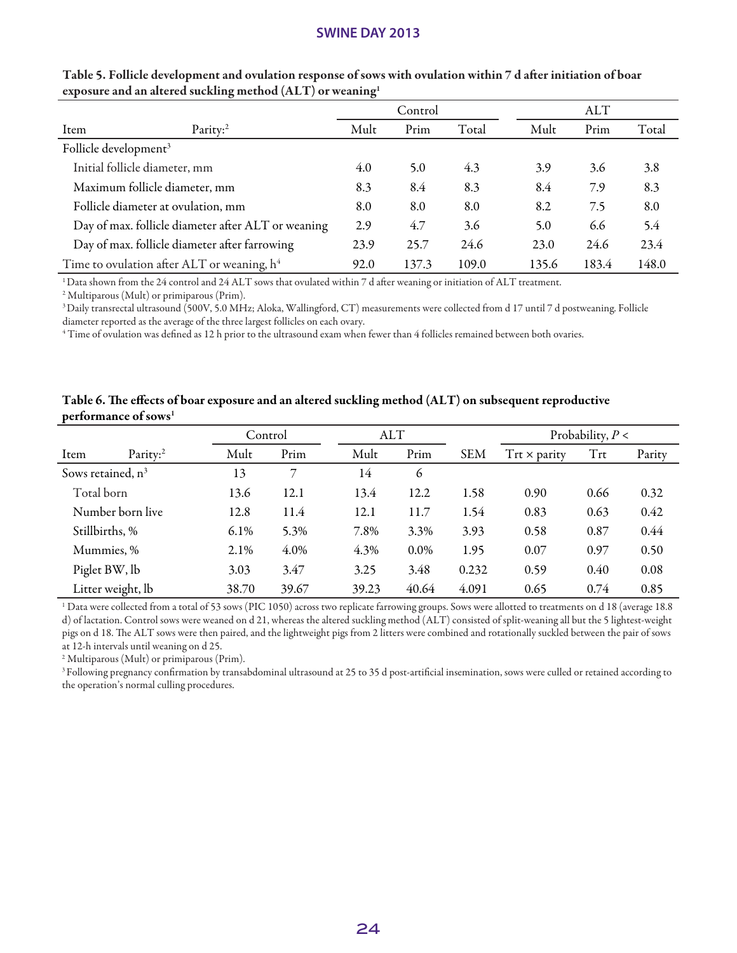|                                   |                                                    | Control |       | <b>ALT</b> |       |       |       |
|-----------------------------------|----------------------------------------------------|---------|-------|------------|-------|-------|-------|
| Item                              | Parity: <sup>2</sup>                               | Mult    | Prim  | Total      | Mult  | Prim  | Total |
| Follicle development <sup>3</sup> |                                                    |         |       |            |       |       |       |
|                                   | Initial follicle diameter, mm                      | 4.0     | 5.0   | 4.3        | 3.9   | 3.6   | 3.8   |
| Maximum follicle diameter, mm     |                                                    | 8.3     | 8.4   | 8.3        | 8.4   | 7.9   | 8.3   |
|                                   | Follicle diameter at ovulation, mm                 | 8.0     | 8.0   | 8.0        | 8.2   | 7.5   | 8.0   |
|                                   | Day of max. follicle diameter after ALT or weaning | 2.9     | 4.7   | 3.6        | 5.0   | 6.6   | 5.4   |
|                                   | Day of max. follicle diameter after farrowing      | 23.9    | 25.7  | 24.6       | 23.0  | 24.6  | 23.4  |
|                                   | Time to ovulation after ALT or weaning, $h^4$      | 92.0    | 137.3 | 109.0      | 135.6 | 183.4 | 148.0 |

#### Table 5. Follicle development and ovulation response of sows with ovulation within 7 d after initiation of boar exposure and an altered suckling method (ALT) or weaning1

1 Data shown from the 24 control and 24 ALT sows that ovulated within 7 d after weaning or initiation of ALT treatment.

2 Multiparous (Mult) or primiparous (Prim).

3 Daily transrectal ultrasound (500V, 5.0 MHz; Aloka, Wallingford, CT) measurements were collected from d 17 until 7 d postweaning. Follicle diameter reported as the average of the three largest follicles on each ovary.

4 Time of ovulation was defined as 12 h prior to the ultrasound exam when fewer than 4 follicles remained between both ovaries.

# Control ALT Probability, *P* < Item Parity:2 Mult Prim Mult Prim SEM Trt × parity Trt Parity Sows retained,  $n^3$  13 7 14 6 Total born 13.6 12.1 13.4 12.2 1.58 0.90 0.66 0.32 Number born live 12.8 11.4 12.1 11.7 1.54 0.83 0.63 0.42 Stillbirths, % 6.1% 5.3% 7.8% 3.3% 3.93 0.58 0.87 0.44 Mummies, % 2.1% 4.0% 4.3% 0.0% 1.95 0.07 0.97 0.50 Piglet BW, lb 3.03 3.47 3.25 3.48 0.232 0.59 0.40 0.08 Litter weight, lb 38.70 39.67 39.23 40.64 4.091 0.65 0.74 0.85

#### Table 6. The effects of boar exposure and an altered suckling method (ALT) on subsequent reproductive performance of sows<sup>1</sup>

1 Data were collected from a total of 53 sows (PIC 1050) across two replicate farrowing groups. Sows were allotted to treatments on d 18 (average 18.8 d) of lactation. Control sows were weaned on d 21, whereas the altered suckling method (ALT) consisted of split-weaning all but the 5 lightest-weight pigs on d 18. The ALT sows were then paired, and the lightweight pigs from 2 litters were combined and rotationally suckled between the pair of sows at 12-h intervals until weaning on d 25.

2 Multiparous (Mult) or primiparous (Prim).

<sup>3</sup> Following pregnancy confirmation by transabdominal ultrasound at 25 to 35 d post-artificial insemination, sows were culled or retained according to the operation's normal culling procedures.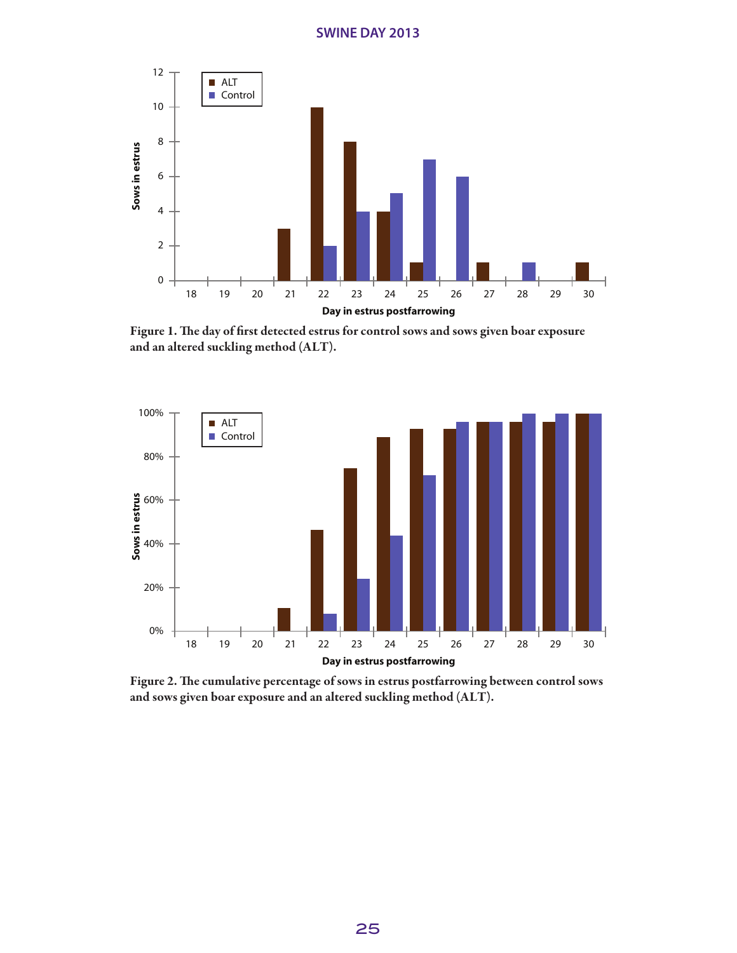

Figure 1. The day of first detected estrus for control sows and sows given boar exposure and an altered suckling method (ALT).



Figure 2. The cumulative percentage of sows in estrus postfarrowing between control sows and sows given boar exposure and an altered suckling method (ALT).